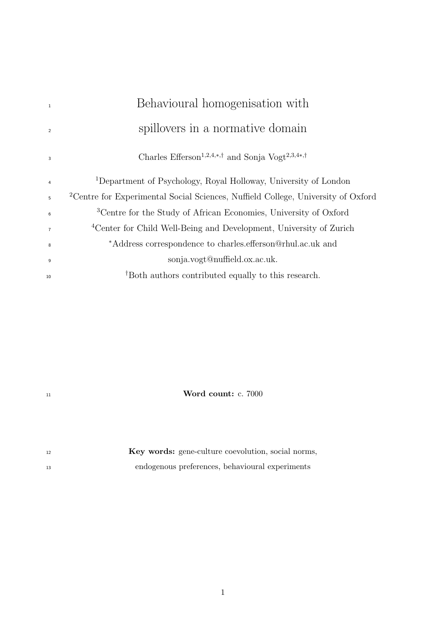| $\overline{1}$ | Behavioural homogenisation with                                                              |
|----------------|----------------------------------------------------------------------------------------------|
| 2              | spillovers in a normative domain                                                             |
| $\overline{3}$ | Charles Efferson <sup>1,2,4,*,†</sup> and Sonja Vogt <sup>2,3,4*,†</sup>                     |
| $\overline{4}$ | <sup>1</sup> Department of Psychology, Royal Holloway, University of London                  |
| 5              | <sup>2</sup> Centre for Experimental Social Sciences, Nuffield College, University of Oxford |
| 6              | <sup>3</sup> Centre for the Study of African Economies, University of Oxford                 |
| $\overline{7}$ | <sup>4</sup> Center for Child Well-Being and Development, University of Zurich               |
| 8              | *Address correspondence to charles.efferson@rhul.ac.uk and                                   |
| $\overline{9}$ | sonja.vogt@nuffield.ox.ac.uk.                                                                |
| 10             | <sup>†</sup> Both authors contributed equally to this research.                              |
|                |                                                                                              |

Word count: c. 7000

12 Key words: gene-culture coevolution, social norms, endogenous preferences, behavioural experiments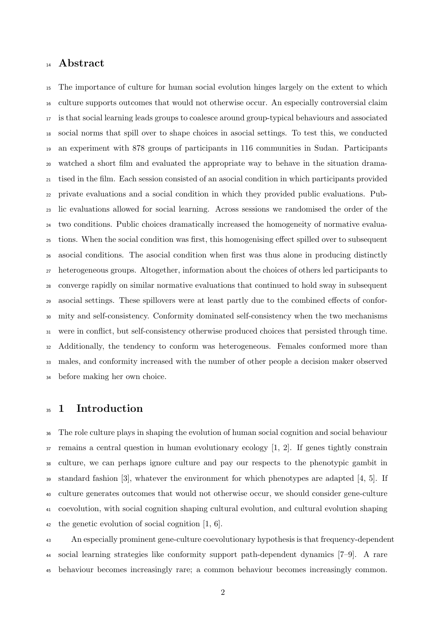### Abstract

 The importance of culture for human social evolution hinges largely on the extent to which culture supports outcomes that would not otherwise occur. An especially controversial claim is that social learning leads groups to coalesce around group-typical behaviours and associated social norms that spill over to shape choices in asocial settings. To test this, we conducted an experiment with 878 groups of participants in 116 communities in Sudan. Participants watched a short film and evaluated the appropriate way to behave in the situation drama- tised in the film. Each session consisted of an asocial condition in which participants provided private evaluations and a social condition in which they provided public evaluations. Pub- lic evaluations allowed for social learning. Across sessions we randomised the order of the two conditions. Public choices dramatically increased the homogeneity of normative evalua- tions. When the social condition was first, this homogenising effect spilled over to subsequent asocial conditions. The asocial condition when first was thus alone in producing distinctly heterogeneous groups. Altogether, information about the choices of others led participants to converge rapidly on similar normative evaluations that continued to hold sway in subsequent asocial settings. These spillovers were at least partly due to the combined effects of confor- mity and self-consistency. Conformity dominated self-consistency when the two mechanisms were in conflict, but self-consistency otherwise produced choices that persisted through time. Additionally, the tendency to conform was heterogeneous. Females conformed more than males, and conformity increased with the number of other people a decision maker observed before making her own choice.

## <sup>35</sup> 1 Introduction

 The role culture plays in shaping the evolution of human social cognition and social behaviour remains a central question in human evolutionary ecology [1, 2]. If genes tightly constrain culture, we can perhaps ignore culture and pay our respects to the phenotypic gambit in standard fashion [3], whatever the environment for which phenotypes are adapted [4, 5]. If culture generates outcomes that would not otherwise occur, we should consider gene-culture coevolution, with social cognition shaping cultural evolution, and cultural evolution shaping the genetic evolution of social cognition [1, 6].

 An especially prominent gene-culture coevolutionary hypothesis is that frequency-dependent social learning strategies like conformity support path-dependent dynamics [7–9]. A rare behaviour becomes increasingly rare; a common behaviour becomes increasingly common.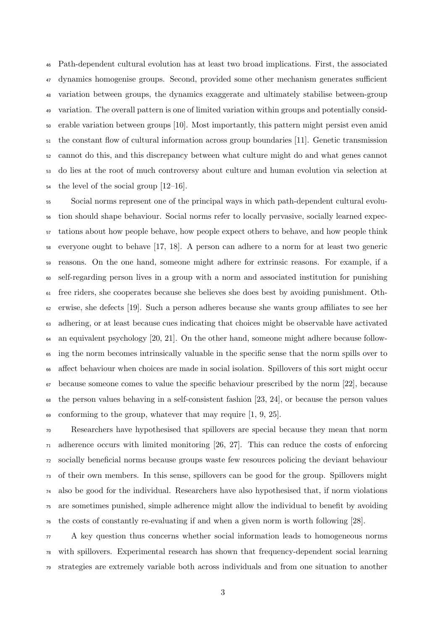Path-dependent cultural evolution has at least two broad implications. First, the associated dynamics homogenise groups. Second, provided some other mechanism generates sufficient variation between groups, the dynamics exaggerate and ultimately stabilise between-group variation. The overall pattern is one of limited variation within groups and potentially consid- erable variation between groups [10]. Most importantly, this pattern might persist even amid the constant flow of cultural information across group boundaries [11]. Genetic transmission cannot do this, and this discrepancy between what culture might do and what genes cannot do lies at the root of much controversy about culture and human evolution via selection at the level of the social group [12–16].

 Social norms represent one of the principal ways in which path-dependent cultural evolu- tion should shape behaviour. Social norms refer to locally pervasive, socially learned expec- tations about how people behave, how people expect others to behave, and how people think everyone ought to behave [17, 18]. A person can adhere to a norm for at least two generic reasons. On the one hand, someone might adhere for extrinsic reasons. For example, if a self-regarding person lives in a group with a norm and associated institution for punishing free riders, she cooperates because she believes she does best by avoiding punishment. Oth- erwise, she defects [19]. Such a person adheres because she wants group affiliates to see her adhering, or at least because cues indicating that choices might be observable have activated <sup>64</sup> an equivalent psychology [20, 21]. On the other hand, someone might adhere because follow- ing the norm becomes intrinsically valuable in the specific sense that the norm spills over to affect behaviour when choices are made in social isolation. Spillovers of this sort might occur because someone comes to value the specific behaviour prescribed by the norm [22], because the person values behaving in a self-consistent fashion [23, 24], or because the person values conforming to the group, whatever that may require [1, 9, 25].

 Researchers have hypothesised that spillovers are special because they mean that norm adherence occurs with limited monitoring [26, 27]. This can reduce the costs of enforcing socially beneficial norms because groups waste few resources policing the deviant behaviour of their own members. In this sense, spillovers can be good for the group. Spillovers might also be good for the individual. Researchers have also hypothesised that, if norm violations are sometimes punished, simple adherence might allow the individual to benefit by avoiding the costs of constantly re-evaluating if and when a given norm is worth following [28].

 A key question thus concerns whether social information leads to homogeneous norms with spillovers. Experimental research has shown that frequency-dependent social learning strategies are extremely variable both across individuals and from one situation to another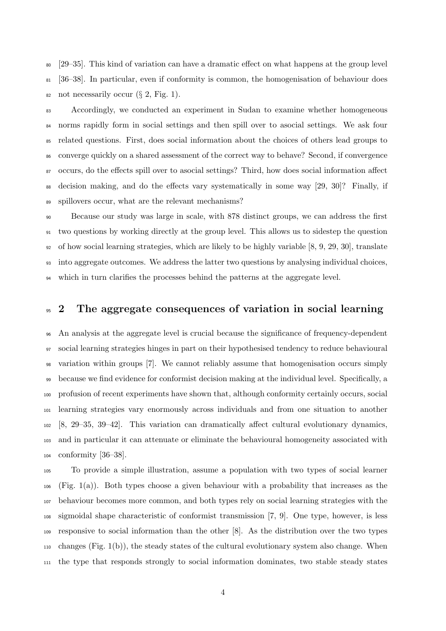[29–35]. This kind of variation can have a dramatic effect on what happens at the group level [36–38]. In particular, even if conformity is common, the homogenisation of behaviour does 82 not necessarily occur  $(\S 2, Fig. 1)$ .

 Accordingly, we conducted an experiment in Sudan to examine whether homogeneous norms rapidly form in social settings and then spill over to asocial settings. We ask four related questions. First, does social information about the choices of others lead groups to converge quickly on a shared assessment of the correct way to behave? Second, if convergence occurs, do the effects spill over to asocial settings? Third, how does social information affect decision making, and do the effects vary systematically in some way [29, 30]? Finally, if spillovers occur, what are the relevant mechanisms?

 Because our study was large in scale, with 878 distinct groups, we can address the first two questions by working directly at the group level. This allows us to sidestep the question of how social learning strategies, which are likely to be highly variable [8, 9, 29, 30], translate into aggregate outcomes. We address the latter two questions by analysing individual choices, which in turn clarifies the processes behind the patterns at the aggregate level.

## <sup>95</sup> 2 The aggregate consequences of variation in social learning

 An analysis at the aggregate level is crucial because the significance of frequency-dependent social learning strategies hinges in part on their hypothesised tendency to reduce behavioural variation within groups [7]. We cannot reliably assume that homogenisation occurs simply because we find evidence for conformist decision making at the individual level. Specifically, a profusion of recent experiments have shown that, although conformity certainly occurs, social learning strategies vary enormously across individuals and from one situation to another [8, 29–35, 39–42]. This variation can dramatically affect cultural evolutionary dynamics, and in particular it can attenuate or eliminate the behavioural homogeneity associated with conformity [36–38].

 To provide a simple illustration, assume a population with two types of social learner (Fig. 1(a)). Both types choose a given behaviour with a probability that increases as the behaviour becomes more common, and both types rely on social learning strategies with the sigmoidal shape characteristic of conformist transmission [7, 9]. One type, however, is less responsive to social information than the other [8]. As the distribution over the two types changes (Fig. 1(b)), the steady states of the cultural evolutionary system also change. When the type that responds strongly to social information dominates, two stable steady states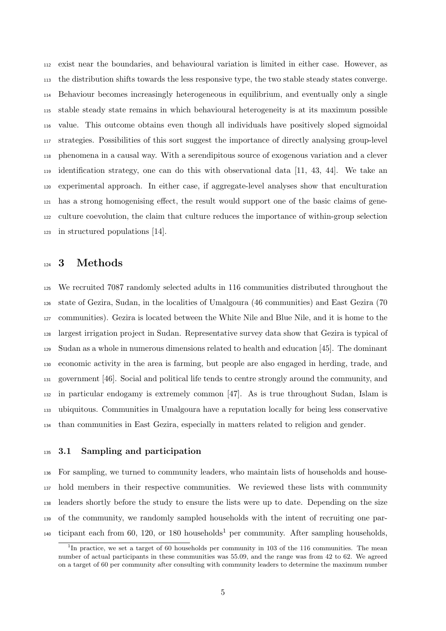exist near the boundaries, and behavioural variation is limited in either case. However, as the distribution shifts towards the less responsive type, the two stable steady states converge. Behaviour becomes increasingly heterogeneous in equilibrium, and eventually only a single stable steady state remains in which behavioural heterogeneity is at its maximum possible value. This outcome obtains even though all individuals have positively sloped sigmoidal strategies. Possibilities of this sort suggest the importance of directly analysing group-level phenomena in a causal way. With a serendipitous source of exogenous variation and a clever identification strategy, one can do this with observational data [11, 43, 44]. We take an experimental approach. In either case, if aggregate-level analyses show that enculturation has a strong homogenising effect, the result would support one of the basic claims of gene- culture coevolution, the claim that culture reduces the importance of within-group selection in structured populations [14].

### 3 Methods

 We recruited 7087 randomly selected adults in 116 communities distributed throughout the state of Gezira, Sudan, in the localities of Umalgoura (46 communities) and East Gezira (70 communities). Gezira is located between the White Nile and Blue Nile, and it is home to the largest irrigation project in Sudan. Representative survey data show that Gezira is typical of Sudan as a whole in numerous dimensions related to health and education [45]. The dominant economic activity in the area is farming, but people are also engaged in herding, trade, and government [46]. Social and political life tends to centre strongly around the community, and in particular endogamy is extremely common [47]. As is true throughout Sudan, Islam is ubiquitous. Communities in Umalgoura have a reputation locally for being less conservative than communities in East Gezira, especially in matters related to religion and gender.

### 3.1 Sampling and participation

 For sampling, we turned to community leaders, who maintain lists of households and house- hold members in their respective communities. We reviewed these lists with community leaders shortly before the study to ensure the lists were up to date. Depending on the size of the community, we randomly sampled households with the intent of recruiting one participant each from 60, 120, or 180 households<sup>1</sup> per community. After sampling households,

<sup>&</sup>lt;sup>1</sup>In practice, we set a target of 60 households per community in 103 of the 116 communities. The mean number of actual participants in these communities was 55.09, and the range was from 42 to 62. We agreed on a target of 60 per community after consulting with community leaders to determine the maximum number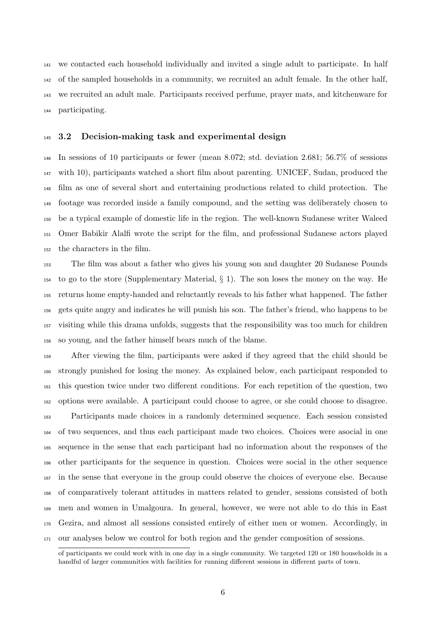we contacted each household individually and invited a single adult to participate. In half of the sampled households in a community, we recruited an adult female. In the other half, we recruited an adult male. Participants received perfume, prayer mats, and kitchenware for participating.

### 3.2 Decision-making task and experimental design

 In sessions of 10 participants or fewer (mean 8.072; std. deviation 2.681; 56.7% of sessions with 10), participants watched a short film about parenting. UNICEF, Sudan, produced the film as one of several short and entertaining productions related to child protection. The footage was recorded inside a family compound, and the setting was deliberately chosen to be a typical example of domestic life in the region. The well-known Sudanese writer Waleed Omer Babikir Alalfi wrote the script for the film, and professional Sudanese actors played the characters in the film.

 The film was about a father who gives his young son and daughter 20 Sudanese Pounds  $_{154}$  to go to the store (Supplementary Material,  $\S 1$ ). The son loses the money on the way. He returns home empty-handed and reluctantly reveals to his father what happened. The father gets quite angry and indicates he will punish his son. The father's friend, who happens to be visiting while this drama unfolds, suggests that the responsibility was too much for children so young, and the father himself bears much of the blame.

 After viewing the film, participants were asked if they agreed that the child should be strongly punished for losing the money. As explained below, each participant responded to this question twice under two different conditions. For each repetition of the question, two options were available. A participant could choose to agree, or she could choose to disagree.

 Participants made choices in a randomly determined sequence. Each session consisted of two sequences, and thus each participant made two choices. Choices were asocial in one sequence in the sense that each participant had no information about the responses of the other participants for the sequence in question. Choices were social in the other sequence in the sense that everyone in the group could observe the choices of everyone else. Because of comparatively tolerant attitudes in matters related to gender, sessions consisted of both men and women in Umalgoura. In general, however, we were not able to do this in East Gezira, and almost all sessions consisted entirely of either men or women. Accordingly, in our analyses below we control for both region and the gender composition of sessions.

of participants we could work with in one day in a single community. We targeted 120 or 180 households in a handful of larger communities with facilities for running different sessions in different parts of town.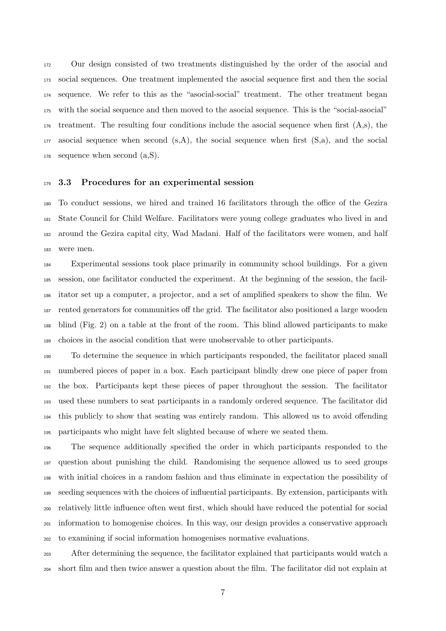Our design consisted of two treatments distinguished by the order of the asocial and social sequences. One treatment implemented the asocial sequence first and then the social sequence. We refer to this as the "asocial-social" treatment. The other treatment began with the social sequence and then moved to the asocial sequence. This is the "social-asocial" treatment. The resulting four conditions include the asocial sequence when first  $(A,s)$ , the asocial sequence when second  $(s,A)$ , the social sequence when first  $(S,a)$ , and the social sequence when second (a,S).

#### 3.3 Procedures for an experimental session

 To conduct sessions, we hired and trained 16 facilitators through the office of the Gezira State Council for Child Welfare. Facilitators were young college graduates who lived in and around the Gezira capital city, Wad Madani. Half of the facilitators were women, and half were men.

 Experimental sessions took place primarily in community school buildings. For a given session, one facilitator conducted the experiment. At the beginning of the session, the facil- itator set up a computer, a projector, and a set of amplified speakers to show the film. We rented generators for communities off the grid. The facilitator also positioned a large wooden blind (Fig. 2) on a table at the front of the room. This blind allowed participants to make choices in the asocial condition that were unobservable to other participants.

 To determine the sequence in which participants responded, the facilitator placed small numbered pieces of paper in a box. Each participant blindly drew one piece of paper from the box. Participants kept these pieces of paper throughout the session. The facilitator used these numbers to seat participants in a randomly ordered sequence. The facilitator did this publicly to show that seating was entirely random. This allowed us to avoid offending participants who might have felt slighted because of where we seated them.

 The sequence additionally specified the order in which participants responded to the question about punishing the child. Randomising the sequence allowed us to seed groups with initial choices in a random fashion and thus eliminate in expectation the possibility of seeding sequences with the choices of influential participants. By extension, participants with relatively little influence often went first, which should have reduced the potential for social information to homogenise choices. In this way, our design provides a conservative approach to examining if social information homogenises normative evaluations.

 After determining the sequence, the facilitator explained that participants would watch a short film and then twice answer a question about the film. The facilitator did not explain at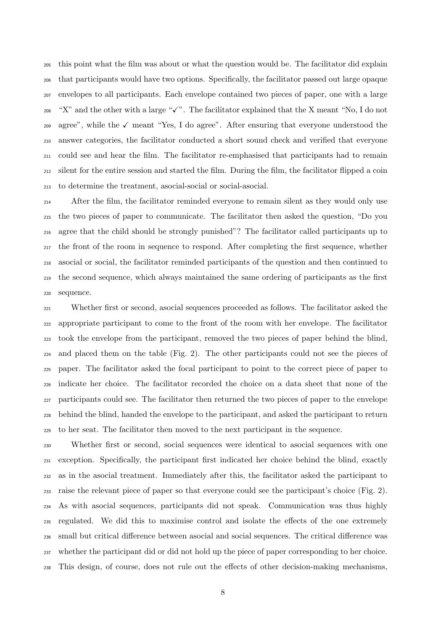this point what the film was about or what the question would be. The facilitator did explain that participants would have two options. Specifically, the facilitator passed out large opaque envelopes to all participants. Each envelope contained two pieces of paper, one with a large <sup>208</sup> "X" and the other with a large " $\checkmark$ ". The facilitator explained that the X meant "No, I do not 209 agree", while the  $\checkmark$  meant "Yes, I do agree". After ensuring that everyone understood the answer categories, the facilitator conducted a short sound check and verified that everyone could see and hear the film. The facilitator re-emphasised that participants had to remain silent for the entire session and started the film. During the film, the facilitator flipped a coin to determine the treatment, asocial-social or social-asocial.

<sup>214</sup> After the film, the facilitator reminded everyone to remain silent as they would only use the two pieces of paper to communicate. The facilitator then asked the question, "Do you agree that the child should be strongly punished"? The facilitator called participants up to the front of the room in sequence to respond. After completing the first sequence, whether asocial or social, the facilitator reminded participants of the question and then continued to the second sequence, which always maintained the same ordering of participants as the first sequence.

 Whether first or second, asocial sequences proceeded as follows. The facilitator asked the appropriate participant to come to the front of the room with her envelope. The facilitator took the envelope from the participant, removed the two pieces of paper behind the blind, and placed them on the table (Fig. 2). The other participants could not see the pieces of paper. The facilitator asked the focal participant to point to the correct piece of paper to indicate her choice. The facilitator recorded the choice on a data sheet that none of the participants could see. The facilitator then returned the two pieces of paper to the envelope behind the blind, handed the envelope to the participant, and asked the participant to return to her seat. The facilitator then moved to the next participant in the sequence.

 Whether first or second, social sequences were identical to asocial sequences with one exception. Specifically, the participant first indicated her choice behind the blind, exactly as in the asocial treatment. Immediately after this, the facilitator asked the participant to raise the relevant piece of paper so that everyone could see the participant's choice (Fig. 2). As with asocial sequences, participants did not speak. Communication was thus highly regulated. We did this to maximise control and isolate the effects of the one extremely small but critical difference between asocial and social sequences. The critical difference was whether the participant did or did not hold up the piece of paper corresponding to her choice. This design, of course, does not rule out the effects of other decision-making mechanisms,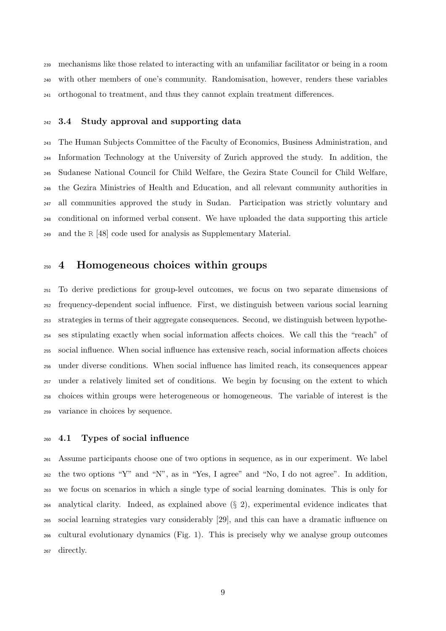mechanisms like those related to interacting with an unfamiliar facilitator or being in a room with other members of one's community. Randomisation, however, renders these variables orthogonal to treatment, and thus they cannot explain treatment differences.

#### 3.4 Study approval and supporting data

 The Human Subjects Committee of the Faculty of Economics, Business Administration, and Information Technology at the University of Zurich approved the study. In addition, the Sudanese National Council for Child Welfare, the Gezira State Council for Child Welfare, the Gezira Ministries of Health and Education, and all relevant community authorities in all communities approved the study in Sudan. Participation was strictly voluntary and conditional on informed verbal consent. We have uploaded the data supporting this article and the R [48] code used for analysis as Supplementary Material.

### 4 Homogeneous choices within groups

 To derive predictions for group-level outcomes, we focus on two separate dimensions of frequency-dependent social influence. First, we distinguish between various social learning strategies in terms of their aggregate consequences. Second, we distinguish between hypothe- ses stipulating exactly when social information affects choices. We call this the "reach" of social influence. When social influence has extensive reach, social information affects choices under diverse conditions. When social influence has limited reach, its consequences appear under a relatively limited set of conditions. We begin by focusing on the extent to which choices within groups were heterogeneous or homogeneous. The variable of interest is the variance in choices by sequence.

### 4.1 Types of social influence

 Assume participants choose one of two options in sequence, as in our experiment. We label the two options "Y" and "N", as in "Yes, I agree" and "No, I do not agree". In addition, we focus on scenarios in which a single type of social learning dominates. This is only for analytical clarity. Indeed, as explained above (§ 2), experimental evidence indicates that social learning strategies vary considerably [29], and this can have a dramatic influence on cultural evolutionary dynamics (Fig. 1). This is precisely why we analyse group outcomes directly.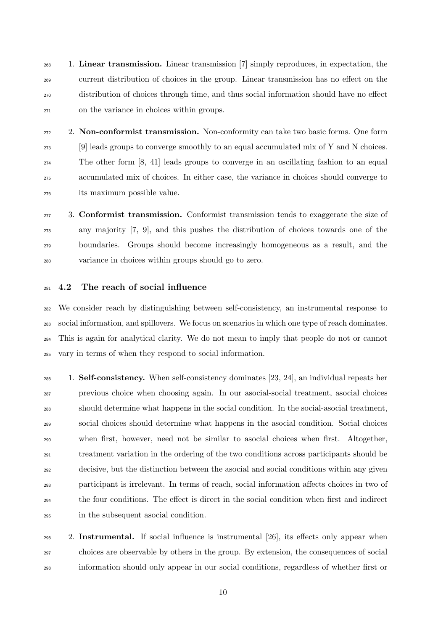1. Linear transmission. Linear transmission [7] simply reproduces, in expectation, the current distribution of choices in the group. Linear transmission has no effect on the distribution of choices through time, and thus social information should have no effect on the variance in choices within groups.

 2. Non-conformist transmission. Non-conformity can take two basic forms. One form [9] leads groups to converge smoothly to an equal accumulated mix of Y and N choices. The other form [8, 41] leads groups to converge in an oscillating fashion to an equal accumulated mix of choices. In either case, the variance in choices should converge to its maximum possible value.

277 3. Conformist transmission. Conformist transmission tends to exaggerate the size of any majority [7, 9], and this pushes the distribution of choices towards one of the boundaries. Groups should become increasingly homogeneous as a result, and the variance in choices within groups should go to zero.

#### 4.2 The reach of social influence

 We consider reach by distinguishing between self-consistency, an instrumental response to social information, and spillovers. We focus on scenarios in which one type of reach dominates. This is again for analytical clarity. We do not mean to imply that people do not or cannot vary in terms of when they respond to social information.

 1. Self-consistency. When self-consistency dominates [23, 24], an individual repeats her previous choice when choosing again. In our asocial-social treatment, asocial choices should determine what happens in the social condition. In the social-asocial treatment, social choices should determine what happens in the asocial condition. Social choices when first, however, need not be similar to asocial choices when first. Altogether, treatment variation in the ordering of the two conditions across participants should be decisive, but the distinction between the asocial and social conditions within any given participant is irrelevant. In terms of reach, social information affects choices in two of the four conditions. The effect is direct in the social condition when first and indirect in the subsequent asocial condition.

 2. Instrumental. If social influence is instrumental [26], its effects only appear when choices are observable by others in the group. By extension, the consequences of social information should only appear in our social conditions, regardless of whether first or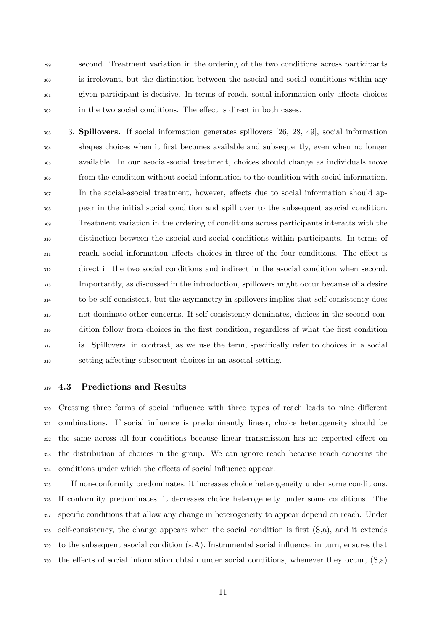second. Treatment variation in the ordering of the two conditions across participants is irrelevant, but the distinction between the asocial and social conditions within any given participant is decisive. In terms of reach, social information only affects choices in the two social conditions. The effect is direct in both cases.

 3. Spillovers. If social information generates spillovers [26, 28, 49], social information shapes choices when it first becomes available and subsequently, even when no longer available. In our asocial-social treatment, choices should change as individuals move from the condition without social information to the condition with social information. In the social-asocial treatment, however, effects due to social information should ap- pear in the initial social condition and spill over to the subsequent asocial condition. Treatment variation in the ordering of conditions across participants interacts with the distinction between the asocial and social conditions within participants. In terms of reach, social information affects choices in three of the four conditions. The effect is direct in the two social conditions and indirect in the asocial condition when second. Importantly, as discussed in the introduction, spillovers might occur because of a desire to be self-consistent, but the asymmetry in spillovers implies that self-consistency does not dominate other concerns. If self-consistency dominates, choices in the second con- dition follow from choices in the first condition, regardless of what the first condition is. Spillovers, in contrast, as we use the term, specifically refer to choices in a social setting affecting subsequent choices in an asocial setting.

319 4.3 Predictions and Results

 Crossing three forms of social influence with three types of reach leads to nine different combinations. If social influence is predominantly linear, choice heterogeneity should be the same across all four conditions because linear transmission has no expected effect on the distribution of choices in the group. We can ignore reach because reach concerns the conditions under which the effects of social influence appear.

 If non-conformity predominates, it increases choice heterogeneity under some conditions. If conformity predominates, it decreases choice heterogeneity under some conditions. The specific conditions that allow any change in heterogeneity to appear depend on reach. Under self-consistency, the change appears when the social condition is first (S,a), and it extends to the subsequent asocial condition (s,A). Instrumental social influence, in turn, ensures that the effects of social information obtain under social conditions, whenever they occur, (S,a)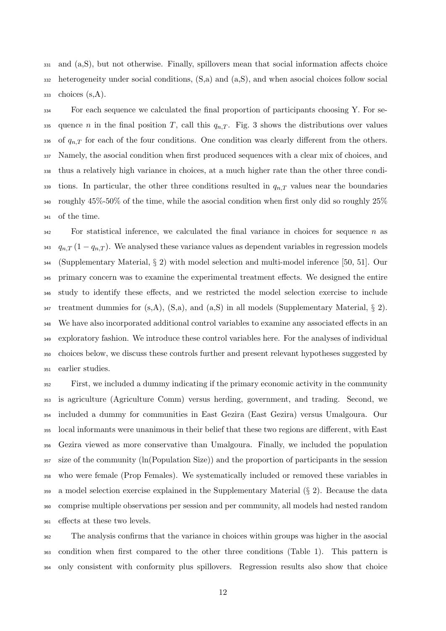and (a,S), but not otherwise. Finally, spillovers mean that social information affects choice heterogeneity under social conditions, (S,a) and (a,S), and when asocial choices follow social choices (s,A).

 For each sequence we calculated the final proportion of participants choosing Y. For se-335 quence n in the final position T, call this  $q_{n,T}$ . Fig. 3 shows the distributions over values 336 of  $q_{n,T}$  for each of the four conditions. One condition was clearly different from the others. Namely, the asocial condition when first produced sequences with a clear mix of choices, and thus a relatively high variance in choices, at a much higher rate than the other three condi- tions. In particular, the other three conditions resulted in  $q_{n,T}$  values near the boundaries  $_{340}$  roughly  $45\%$ -50% of the time, while the asocial condition when first only did so roughly  $25\%$ of the time.

 For statistical inference, we calculated the final variance in choices for sequence n as  $q_{n,T}$  (1 –  $q_{n,T}$ ). We analysed these variance values as dependent variables in regression models (Supplementary Material, § 2) with model selection and multi-model inference [50, 51]. Our primary concern was to examine the experimental treatment effects. We designed the entire study to identify these effects, and we restricted the model selection exercise to include  $_{347}$  treatment dummies for (s,A), (S,a), and (a,S) in all models (Supplementary Material, § 2). We have also incorporated additional control variables to examine any associated effects in an exploratory fashion. We introduce these control variables here. For the analyses of individual choices below, we discuss these controls further and present relevant hypotheses suggested by earlier studies.

 First, we included a dummy indicating if the primary economic activity in the community is agriculture (Agriculture Comm) versus herding, government, and trading. Second, we included a dummy for communities in East Gezira (East Gezira) versus Umalgoura. Our local informants were unanimous in their belief that these two regions are different, with East Gezira viewed as more conservative than Umalgoura. Finally, we included the population size of the community (ln(Population Size)) and the proportion of participants in the session who were female (Prop Females). We systematically included or removed these variables in a model selection exercise explained in the Supplementary Material (§ 2). Because the data comprise multiple observations per session and per community, all models had nested random effects at these two levels.

 The analysis confirms that the variance in choices within groups was higher in the asocial condition when first compared to the other three conditions (Table 1). This pattern is only consistent with conformity plus spillovers. Regression results also show that choice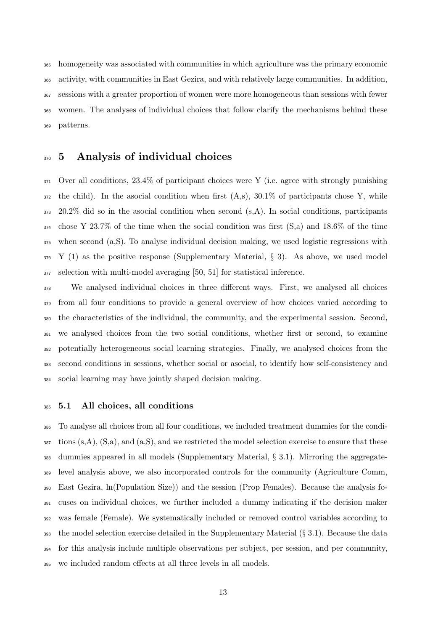homogeneity was associated with communities in which agriculture was the primary economic activity, with communities in East Gezira, and with relatively large communities. In addition, sessions with a greater proportion of women were more homogeneous than sessions with fewer women. The analyses of individual choices that follow clarify the mechanisms behind these patterns.

# 370 5 Analysis of individual choices

 Over all conditions,  $23.4\%$  of participant choices were Y (i.e. agree with strongly punishing the child). In the asocial condition when first  $(A,s)$ ,  $30.1\%$  of participants chose Y, while 20.2% did so in the asocial condition when second (s,A). In social conditions, participants chose Y 23.7% of the time when the social condition was first (S,a) and 18.6% of the time when second (a,S). To analyse individual decision making, we used logistic regressions with Y (1) as the positive response (Supplementary Material, § 3). As above, we used model selection with multi-model averaging [50, 51] for statistical inference.

 We analysed individual choices in three different ways. First, we analysed all choices from all four conditions to provide a general overview of how choices varied according to the characteristics of the individual, the community, and the experimental session. Second, we analysed choices from the two social conditions, whether first or second, to examine potentially heterogeneous social learning strategies. Finally, we analysed choices from the second conditions in sessions, whether social or asocial, to identify how self-consistency and social learning may have jointly shaped decision making.

#### 5.1 All choices, all conditions

 To analyse all choices from all four conditions, we included treatment dummies for the condi- tions  $(s, A)$ ,  $(S, a)$ , and  $(a, S)$ , and we restricted the model selection exercise to ensure that these dummies appeared in all models (Supplementary Material, § 3.1). Mirroring the aggregate- level analysis above, we also incorporated controls for the community (Agriculture Comm, East Gezira, ln(Population Size)) and the session (Prop Females). Because the analysis fo- cuses on individual choices, we further included a dummy indicating if the decision maker was female (Female). We systematically included or removed control variables according to the model selection exercise detailed in the Supplementary Material  $(\S 3.1)$ . Because the data for this analysis include multiple observations per subject, per session, and per community, we included random effects at all three levels in all models.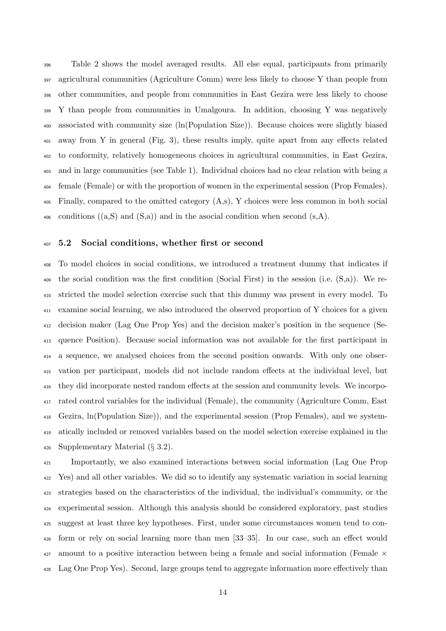Table 2 shows the model averaged results. All else equal, participants from primarily agricultural communities (Agriculture Comm) were less likely to choose Y than people from other communities, and people from communities in East Gezira were less likely to choose Y than people from communities in Umalgoura. In addition, choosing Y was negatively associated with community size (ln(Population Size)). Because choices were slightly biased away from Y in general (Fig. 3), these results imply, quite apart from any effects related to conformity, relatively homogeneous choices in agricultural communities, in East Gezira, and in large communities (see Table 1). Individual choices had no clear relation with being a female (Female) or with the proportion of women in the experimental session (Prop Females). Finally, compared to the omitted category (A,s), Y choices were less common in both social 406 conditions  $((a, S)$  and  $(S,a))$  and in the asocial condition when second  $(s, A)$ .

### 5.2 Social conditions, whether first or second

 To model choices in social conditions, we introduced a treatment dummy that indicates if  $\frac{409}{100}$  the social condition was the first condition (Social First) in the session (i.e.  $(S,a)$ ). We re- stricted the model selection exercise such that this dummy was present in every model. To examine social learning, we also introduced the observed proportion of Y choices for a given decision maker (Lag One Prop Yes) and the decision maker's position in the sequence (Se- quence Position). Because social information was not available for the first participant in a sequence, we analysed choices from the second position onwards. With only one obser- vation per participant, models did not include random effects at the individual level, but they did incorporate nested random effects at the session and community levels. We incorpo- rated control variables for the individual (Female), the community (Agriculture Comm, East Gezira, ln(Population Size)), and the experimental session (Prop Females), and we system- atically included or removed variables based on the model selection exercise explained in the 420 Supplementary Material  $(\S$  3.2).

 Importantly, we also examined interactions between social information (Lag One Prop Yes) and all other variables. We did so to identify any systematic variation in social learning strategies based on the characteristics of the individual, the individual's community, or the experimental session. Although this analysis should be considered exploratory, past studies suggest at least three key hypotheses. First, under some circumstances women tend to con- form or rely on social learning more than men [33–35]. In our case, such an effect would  $_{427}$  amount to a positive interaction between being a female and social information (Female  $\times$ Lag One Prop Yes). Second, large groups tend to aggregate information more effectively than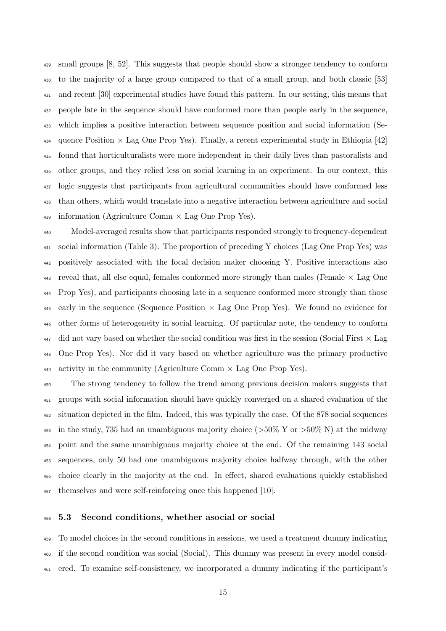small groups [8, 52]. This suggests that people should show a stronger tendency to conform to the majority of a large group compared to that of a small group, and both classic [53] and recent [30] experimental studies have found this pattern. In our setting, this means that people late in the sequence should have conformed more than people early in the sequence, which implies a positive interaction between sequence position and social information (Se-434 quence Position  $\times$  Lag One Prop Yes). Finally, a recent experimental study in Ethiopia [42] found that horticulturalists were more independent in their daily lives than pastoralists and other groups, and they relied less on social learning in an experiment. In our context, this logic suggests that participants from agricultural communities should have conformed less than others, which would translate into a negative interaction between agriculture and social 439 information (Agriculture Comm  $\times$  Lag One Prop Yes).

 Model-averaged results show that participants responded strongly to frequency-dependent social information (Table 3). The proportion of preceding Y choices (Lag One Prop Yes) was positively associated with the focal decision maker choosing Y. Positive interactions also  $_{443}$  reveal that, all else equal, females conformed more strongly than males (Female  $\times$  Lag One Prop Yes), and participants choosing late in a sequence conformed more strongly than those 445 early in the sequence (Sequence Position  $\times$  Lag One Prop Yes). We found no evidence for other forms of heterogeneity in social learning. Of particular note, the tendency to conform  $_{447}$  did not vary based on whether the social condition was first in the session (Social First  $\times$  Lag One Prop Yes). Nor did it vary based on whether agriculture was the primary productive 449 activity in the community (Agriculture Comm  $\times$  Lag One Prop Yes).

 The strong tendency to follow the trend among previous decision makers suggests that groups with social information should have quickly converged on a shared evaluation of the situation depicted in the film. Indeed, this was typically the case. Of the 878 social sequences <sup>453</sup> in the study, 735 had an unambiguous majority choice ( $>50\%$  Y or  $>50\%$  N) at the midway point and the same unambiguous majority choice at the end. Of the remaining 143 social sequences, only 50 had one unambiguous majority choice halfway through, with the other choice clearly in the majority at the end. In effect, shared evaluations quickly established themselves and were self-reinforcing once this happened [10].

#### 5.3 Second conditions, whether asocial or social

 To model choices in the second conditions in sessions, we used a treatment dummy indicating if the second condition was social (Social). This dummy was present in every model consid-ered. To examine self-consistency, we incorporated a dummy indicating if the participant's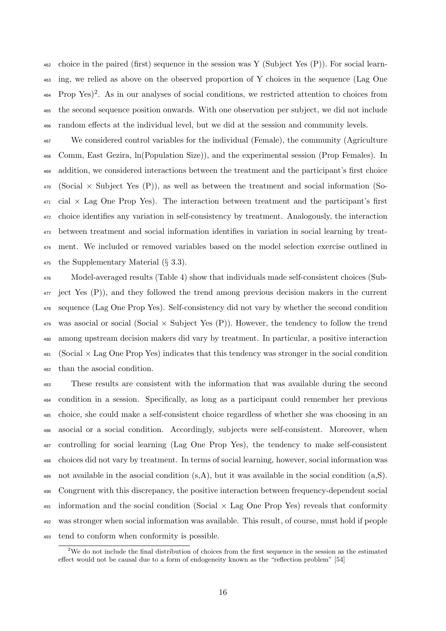choice in the paired (first) sequence in the session was Y (Subject Yes (P)). For social learn- ing, we relied as above on the observed proportion of Y choices in the sequence (Lag One Prop Yes)<sup>2</sup>. As in our analyses of social conditions, we restricted attention to choices from the second sequence position onwards. With one observation per subject, we did not include random effects at the individual level, but we did at the session and community levels.

 We considered control variables for the individual (Female), the community (Agriculture Comm, East Gezira, ln(Population Size)), and the experimental session (Prop Females). In addition, we considered interactions between the treatment and the participant's first choice (Social  $\times$  Subject Yes (P)), as well as between the treatment and social information (So- $_{471}$  cial  $\times$  Lag One Prop Yes). The interaction between treatment and the participant's first choice identifies any variation in self-consistency by treatment. Analogously, the interaction between treatment and social information identifies in variation in social learning by treat- ment. We included or removed variables based on the model selection exercise outlined in 475 the Supplementary Material  $(\S 3.3)$ .

 Model-averaged results (Table 4) show that individuals made self-consistent choices (Sub- ject Yes (P)), and they followed the trend among previous decision makers in the current sequence (Lag One Prop Yes). Self-consistency did not vary by whether the second condition 479 was asocial or social (Social  $\times$  Subject Yes (P)). However, the tendency to follow the trend among upstream decision makers did vary by treatment. In particular, a positive interaction (Social  $\times$  Lag One Prop Yes) indicates that this tendency was stronger in the social condition than the asocial condition.

 These results are consistent with the information that was available during the second condition in a session. Specifically, as long as a participant could remember her previous choice, she could make a self-consistent choice regardless of whether she was choosing in an asocial or a social condition. Accordingly, subjects were self-consistent. Moreover, when controlling for social learning (Lag One Prop Yes), the tendency to make self-consistent choices did not vary by treatment. In terms of social learning, however, social information was 489 not available in the asocial condition  $(s, A)$ , but it was available in the social condition  $(a, S)$ . Congruent with this discrepancy, the positive interaction between frequency-dependent social  $_{491}$  information and the social condition (Social  $\times$  Lag One Prop Yes) reveals that conformity was stronger when social information was available. This result, of course, must hold if people tend to conform when conformity is possible.

<sup>&</sup>lt;sup>2</sup>We do not include the final distribution of choices from the first sequence in the session as the estimated effect would not be causal due to a form of endogeneity known as the "reflection problem" [54]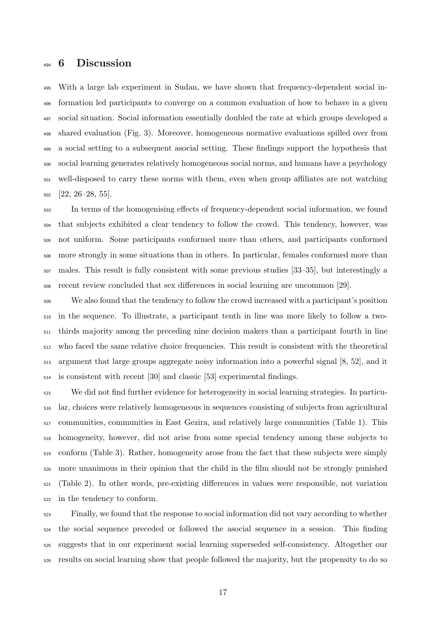## 494 6 Discussion

 With a large lab experiment in Sudan, we have shown that frequency-dependent social in- formation led participants to converge on a common evaluation of how to behave in a given social situation. Social information essentially doubled the rate at which groups developed a shared evaluation (Fig. 3). Moreover, homogeneous normative evaluations spilled over from a social setting to a subsequent asocial setting. These findings support the hypothesis that social learning generates relatively homogeneous social norms, and humans have a psychology well-disposed to carry these norms with them, even when group affiliates are not watching [22, 26–28, 55].

 In terms of the homogenising effects of frequency-dependent social information, we found that subjects exhibited a clear tendency to follow the crowd. This tendency, however, was not uniform. Some participants conformed more than others, and participants conformed more strongly in some situations than in others. In particular, females conformed more than males. This result is fully consistent with some previous studies [33–35], but interestingly a recent review concluded that sex differences in social learning are uncommon [29].

 We also found that the tendency to follow the crowd increased with a participant's position in the sequence. To illustrate, a participant tenth in line was more likely to follow a two- thirds majority among the preceding nine decision makers than a participant fourth in line who faced the same relative choice frequencies. This result is consistent with the theoretical argument that large groups aggregate noisy information into a powerful signal [8, 52], and it is consistent with recent [30] and classic [53] experimental findings.

 We did not find further evidence for heterogeneity in social learning strategies. In particu- lar, choices were relatively homogeneous in sequences consisting of subjects from agricultural communities, communities in East Gezira, and relatively large communities (Table 1). This homogeneity, however, did not arise from some special tendency among these subjects to conform (Table 3). Rather, homogeneity arose from the fact that these subjects were simply more unanimous in their opinion that the child in the film should not be strongly punished (Table 2). In other words, pre-existing differences in values were responsible, not variation in the tendency to conform.

 Finally, we found that the response to social information did not vary according to whether the social sequence preceded or followed the asocial sequence in a session. This finding suggests that in our experiment social learning superseded self-consistency. Altogether our results on social learning show that people followed the majority, but the propensity to do so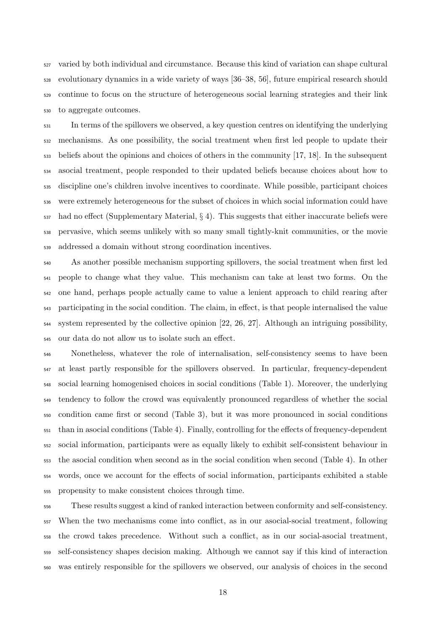varied by both individual and circumstance. Because this kind of variation can shape cultural evolutionary dynamics in a wide variety of ways [36–38, 56], future empirical research should continue to focus on the structure of heterogeneous social learning strategies and their link to aggregate outcomes.

 In terms of the spillovers we observed, a key question centres on identifying the underlying mechanisms. As one possibility, the social treatment when first led people to update their beliefs about the opinions and choices of others in the community [17, 18]. In the subsequent asocial treatment, people responded to their updated beliefs because choices about how to discipline one's children involve incentives to coordinate. While possible, participant choices were extremely heterogeneous for the subset of choices in which social information could have had no effect (Supplementary Material, § 4). This suggests that either inaccurate beliefs were pervasive, which seems unlikely with so many small tightly-knit communities, or the movie addressed a domain without strong coordination incentives.

 As another possible mechanism supporting spillovers, the social treatment when first led people to change what they value. This mechanism can take at least two forms. On the one hand, perhaps people actually came to value a lenient approach to child rearing after participating in the social condition. The claim, in effect, is that people internalised the value system represented by the collective opinion [22, 26, 27]. Although an intriguing possibility, our data do not allow us to isolate such an effect.

 Nonetheless, whatever the role of internalisation, self-consistency seems to have been at least partly responsible for the spillovers observed. In particular, frequency-dependent social learning homogenised choices in social conditions (Table 1). Moreover, the underlying tendency to follow the crowd was equivalently pronounced regardless of whether the social condition came first or second (Table 3), but it was more pronounced in social conditions than in asocial conditions (Table 4). Finally, controlling for the effects of frequency-dependent social information, participants were as equally likely to exhibit self-consistent behaviour in the asocial condition when second as in the social condition when second (Table 4). In other words, once we account for the effects of social information, participants exhibited a stable propensity to make consistent choices through time.

 These results suggest a kind of ranked interaction between conformity and self-consistency. When the two mechanisms come into conflict, as in our asocial-social treatment, following the crowd takes precedence. Without such a conflict, as in our social-asocial treatment, self-consistency shapes decision making. Although we cannot say if this kind of interaction was entirely responsible for the spillovers we observed, our analysis of choices in the second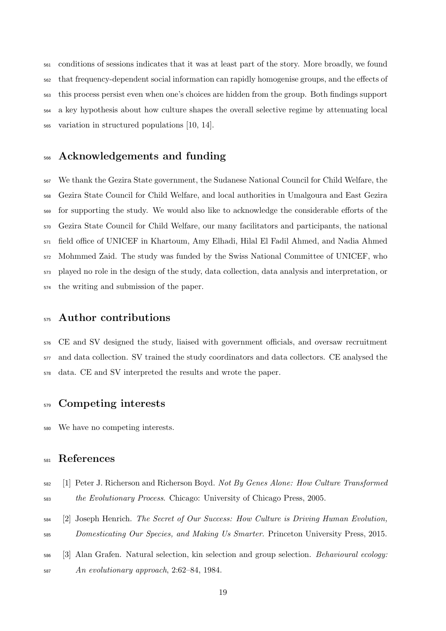conditions of sessions indicates that it was at least part of the story. More broadly, we found that frequency-dependent social information can rapidly homogenise groups, and the effects of this process persist even when one's choices are hidden from the group. Both findings support a key hypothesis about how culture shapes the overall selective regime by attenuating local variation in structured populations [10, 14].

## Acknowledgements and funding

 We thank the Gezira State government, the Sudanese National Council for Child Welfare, the Gezira State Council for Child Welfare, and local authorities in Umalgoura and East Gezira for supporting the study. We would also like to acknowledge the considerable efforts of the Gezira State Council for Child Welfare, our many facilitators and participants, the national field office of UNICEF in Khartoum, Amy Elhadi, Hilal El Fadil Ahmed, and Nadia Ahmed Mohmmed Zaid. The study was funded by the Swiss National Committee of UNICEF, who played no role in the design of the study, data collection, data analysis and interpretation, or the writing and submission of the paper.

### Author contributions

 CE and SV designed the study, liaised with government officials, and oversaw recruitment and data collection. SV trained the study coordinators and data collectors. CE analysed the data. CE and SV interpreted the results and wrote the paper.

## Competing interests

We have no competing interests.

## References

- [1] Peter J. Richerson and Richerson Boyd. Not By Genes Alone: How Culture Transformed the Evolutionary Process. Chicago: University of Chicago Press, 2005.
- [2] Joseph Henrich. The Secret of Our Success: How Culture is Driving Human Evolution, Domesticating Our Species, and Making Us Smarter. Princeton University Press, 2015.
- [3] Alan Grafen. Natural selection, kin selection and group selection. Behavioural ecology: An evolutionary approach,  $2:62-84$ , 1984.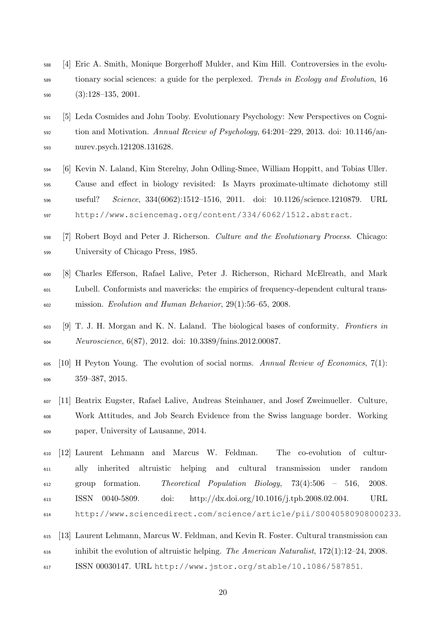- [4] Eric A. Smith, Monique Borgerhoff Mulder, and Kim Hill. Controversies in the evolu- tionary social sciences: a guide for the perplexed. Trends in Ecology and Evolution, 16 (3):128–135, 2001.
- [5] Leda Cosmides and John Tooby. Evolutionary Psychology: New Perspectives on Cogni- tion and Motivation. Annual Review of Psychology, 64:201–229, 2013. doi: 10.1146/an-nurev.psych.121208.131628.
- [6] Kevin N. Laland, Kim Sterelny, John Odling-Smee, William Hoppitt, and Tobias Uller. Cause and effect in biology revisited: Is Mayrs proximate-ultimate dichotomy still useful? Science, 334(6062):1512–1516, 2011. doi: 10.1126/science.1210879. URL http://www.sciencemag.org/content/334/6062/1512.abstract.
- [7] Robert Boyd and Peter J. Richerson. Culture and the Evolutionary Process. Chicago: University of Chicago Press, 1985.
- [8] Charles Efferson, Rafael Lalive, Peter J. Richerson, Richard McElreath, and Mark Lubell. Conformists and mavericks: the empirics of frequency-dependent cultural trans-mission. Evolution and Human Behavior, 29(1):56–65, 2008.
- [9] T. J. H. Morgan and K. N. Laland. The biological bases of conformity. Frontiers in Neuroscience, 6(87), 2012. doi: 10.3389/fnins.2012.00087.
- $\frac{605}{10}$  H Peyton Young. The evolution of social norms. Annual Review of Economics, 7(1): 359–387, 2015.
- [11] Beatrix Eugster, Rafael Lalive, Andreas Steinhauer, and Josef Zweimueller. Culture, Work Attitudes, and Job Search Evidence from the Swiss language border. Working paper, University of Lausanne, 2014.
- [12] Laurent Lehmann and Marcus W. Feldman. The co-evolution of cultur- ally inherited altruistic helping and cultural transmission under random  $\mu_{612}$  group formation. Theoretical Population Biology, 73(4):506 – 516, 2008. ISSN 0040-5809. doi: http://dx.doi.org/10.1016/j.tpb.2008.02.004. URL
- http://www.sciencedirect.com/science/article/pii/S0040580908000233.
- [13] Laurent Lehmann, Marcus W. Feldman, and Kevin R. Foster. Cultural transmission can  $\mu_{\text{min}}$  inhibit the evolution of altruistic helping. The American Naturalist, 172(1):12–24, 2008. ISSN 00030147. URL http://www.jstor.org/stable/10.1086/587851.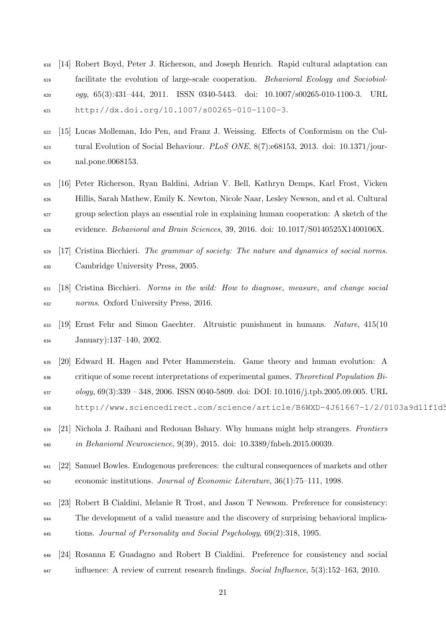- [14] Robert Boyd, Peter J. Richerson, and Joseph Henrich. Rapid cultural adaptation can facilitate the evolution of large-scale cooperation. Behavioral Ecology and Sociobiol- ogy, 65(3):431–444, 2011. ISSN 0340-5443. doi: 10.1007/s00265-010-1100-3. URL http://dx.doi.org/10.1007/s00265-010-1100-3.
- [15] Lucas Molleman, Ido Pen, and Franz J. Weissing. Effects of Conformism on the Cul- tural Evolution of Social Behaviour. PLoS ONE, 8(7):e68153, 2013. doi: 10.1371/jour-nal.pone.0068153.
- [16] Peter Richerson, Ryan Baldini, Adrian V. Bell, Kathryn Demps, Karl Frost, Vicken Hillis, Sarah Mathew, Emily K. Newton, Nicole Naar, Lesley Newson, and et al. Cultural group selection plays an essential role in explaining human cooperation: A sketch of the evidence. Behavioral and Brain Sciences, 39, 2016. doi: 10.1017/S0140525X1400106X.
- [17] Cristina Bicchieri. The grammar of society: The nature and dynamics of social norms. Cambridge University Press, 2005.
- [18] Cristina Bicchieri. Norms in the wild: How to diagnose, measure, and change social norms. Oxford University Press, 2016.
- [19] Ernst Fehr and Simon Gaechter. Altruistic punishment in humans. Nature, 415(10 January):137–140, 2002.
- [20] Edward H. Hagen and Peter Hammerstein. Game theory and human evolution: A
- critique of some recent interpretations of experimental games. Theoretical Population Bi-
- ology, 69(3):339 348, 2006. ISSN 0040-5809. doi: DOI: 10.1016/j.tpb.2005.09.005. URL
- 638 http://www.sciencedirect.com/science/article/B6WXD-4J61667-1/2/0103a9d11f1d5
- [21] Nichola J. Raihani and Redouan Bshary. Why humans might help strangers. Frontiers in Behavioral Neuroscience, 9(39), 2015. doi: 10.3389/fnbeh.2015.00039.
- [22] Samuel Bowles. Endogenous preferences: the cultural consequences of markets and other economic institutions. Journal of Economic Literature, 36(1):75–111, 1998.
- [23] Robert B Cialdini, Melanie R Trost, and Jason T Newsom. Preference for consistency: The development of a valid measure and the discovery of surprising behavioral implica-tions. Journal of Personality and Social Psychology, 69(2):318, 1995.
- [24] Rosanna E Guadagno and Robert B Cialdini. Preference for consistency and social  $\mu_{647}$  influence: A review of current research findings. *Social Influence*, 5(3):152–163, 2010.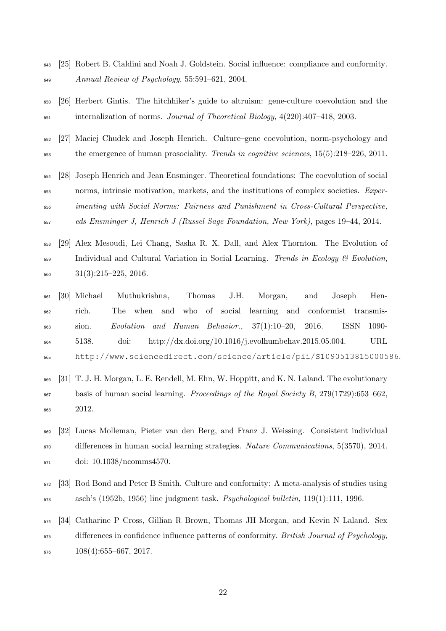- [25] Robert B. Cialdini and Noah J. Goldstein. Social influence: compliance and conformity. Annual Review of Psychology, 55:591–621, 2004.
- [26] Herbert Gintis. The hitchhiker's guide to altruism: gene-culture coevolution and the internalization of norms. Journal of Theoretical Biology, 4(220):407–418, 2003.
- [27] Maciej Chudek and Joseph Henrich. Culture–gene coevolution, norm-psychology and the emergence of human prosociality. Trends in cognitive sciences, 15(5):218–226, 2011.
- [28] Joseph Henrich and Jean Ensminger. Theoretical foundations: The coevolution of social norms, intrinsic motivation, markets, and the institutions of complex societies. Exper- imenting with Social Norms: Fairness and Punishment in Cross-Cultural Perspective, eds Ensminger J, Henrich J (Russel Sage Foundation, New York), pages 19–44, 2014.
- [29] Alex Mesoudi, Lei Chang, Sasha R. X. Dall, and Alex Thornton. The Evolution of  $\delta_{659}$  Individual and Cultural Variation in Social Learning. Trends in Ecology & Evolution,  $660 \qquad 31(3):215-225, 2016.$
- [30] Michael Muthukrishna, Thomas J.H. Morgan, and Joseph Hen- rich. The when and who of social learning and conformist transmis- sion. Evolution and Human Behavior., 37(1):10–20, 2016. ISSN 1090- 5138. doi: http://dx.doi.org/10.1016/j.evolhumbehav.2015.05.004. URL http://www.sciencedirect.com/science/article/pii/S1090513815000586.
- [31] T. J. H. Morgan, L. E. Rendell, M. Ehn, W. Hoppitt, and K. N. Laland. The evolutionary basis of human social learning. Proceedings of the Royal Society B, 279(1729):653–662, 2012.
- [32] Lucas Molleman, Pieter van den Berg, and Franz J. Weissing. Consistent individual differences in human social learning strategies. Nature Communications, 5(3570), 2014. doi: 10.1038/ncomms4570.
- [33] Rod Bond and Peter B Smith. Culture and conformity: A meta-analysis of studies using 673 asch's  $(1952b, 1956)$  line judgment task. *Psychological bulletin*,  $119(1):111$ , 1996.
- [34] Catharine P Cross, Gillian R Brown, Thomas JH Morgan, and Kevin N Laland. Sex differences in confidence influence patterns of conformity. British Journal of Psychology, 108(4):655–667, 2017.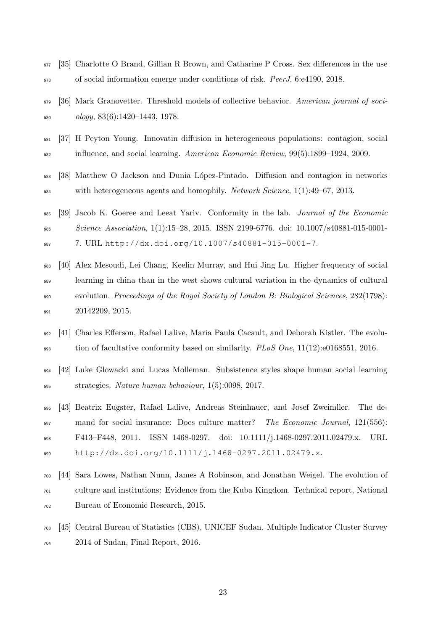- [35] Charlotte O Brand, Gillian R Brown, and Catharine P Cross. Sex differences in the use of social information emerge under conditions of risk. PeerJ, 6:e4190, 2018.
- [36] Mark Granovetter. Threshold models of collective behavior. American journal of soci-680  $ology, 83(6):1420-1443, 1978.$
- [37] H Peyton Young. Innovatin diffusion in heterogeneous populations: contagion, social influence, and social learning. American Economic Review, 99(5):1899–1924, 2009.
- [38] Matthew O Jackson and Dunia L´opez-Pintado. Diffusion and contagion in networks with heterogeneous agents and homophily. Network Science, 1(1):49–67, 2013.
- [39] Jacob K. Goeree and Leeat Yariv. Conformity in the lab. Journal of the Economic Science Association, 1(1):15–28, 2015. ISSN 2199-6776. doi: 10.1007/s40881-015-0001- 7. URL http://dx.doi.org/10.1007/s40881-015-0001-7.
- [40] Alex Mesoudi, Lei Chang, Keelin Murray, and Hui Jing Lu. Higher frequency of social learning in china than in the west shows cultural variation in the dynamics of cultural evolution. Proceedings of the Royal Society of London B: Biological Sciences, 282(1798): 20142209, 2015.
- [41] Charles Efferson, Rafael Lalive, Maria Paula Cacault, and Deborah Kistler. The evolu-tion of facultative conformity based on similarity. PLoS One, 11(12):e0168551, 2016.
- [42] Luke Glowacki and Lucas Molleman. Subsistence styles shape human social learning strategies. Nature human behaviour, 1(5):0098, 2017.
- [43] Beatrix Eugster, Rafael Lalive, Andreas Steinhauer, and Josef Zweimller. The de- mand for social insurance: Does culture matter? The Economic Journal, 121(556): F413–F448, 2011. ISSN 1468-0297. doi: 10.1111/j.1468-0297.2011.02479.x. URL http://dx.doi.org/10.1111/j.1468-0297.2011.02479.x.
- [44] Sara Lowes, Nathan Nunn, James A Robinson, and Jonathan Weigel. The evolution of culture and institutions: Evidence from the Kuba Kingdom. Technical report, National Bureau of Economic Research, 2015.
- [45] Central Bureau of Statistics (CBS), UNICEF Sudan. Multiple Indicator Cluster Survey 2014 of Sudan, Final Report, 2016.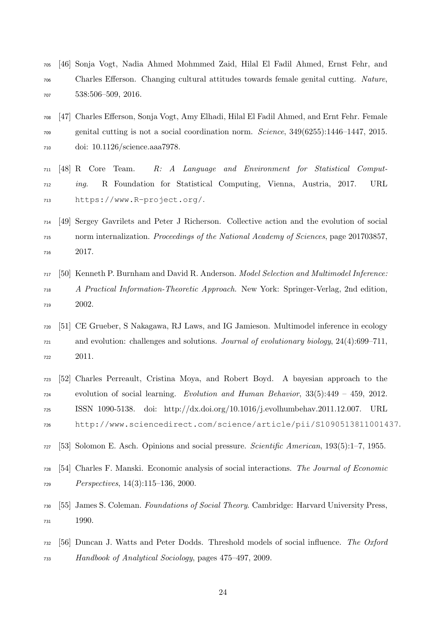- [46] Sonja Vogt, Nadia Ahmed Mohmmed Zaid, Hilal El Fadil Ahmed, Ernst Fehr, and Charles Efferson. Changing cultural attitudes towards female genital cutting. Nature, 538:506–509, 2016.
- [47] Charles Efferson, Sonja Vogt, Amy Elhadi, Hilal El Fadil Ahmed, and Ernt Fehr. Female genital cutting is not a social coordination norm. Science, 349(6255):1446–1447, 2015. doi: 10.1126/science.aaa7978.
- [48] R Core Team. R: A Language and Environment for Statistical Comput- ing. R Foundation for Statistical Computing, Vienna, Austria, 2017. URL https://www.R-project.org/.
- [49] Sergey Gavrilets and Peter J Richerson. Collective action and the evolution of social norm internalization. Proceedings of the National Academy of Sciences, page 201703857, 2017.
- [50] Kenneth P. Burnham and David R. Anderson. Model Selection and Multimodel Inference: A Practical Information-Theoretic Approach. New York: Springer-Verlag, 2nd edition, 2002.
- [51] CE Grueber, S Nakagawa, RJ Laws, and IG Jamieson. Multimodel inference in ecology and evolution: challenges and solutions. Journal of evolutionary biology, 24(4):699–711, 2011.
- [52] Charles Perreault, Cristina Moya, and Robert Boyd. A bayesian approach to the  $_{724}$  evolution of social learning. Evolution and Human Behavior, 33(5):449 – 459, 2012.
- ISSN 1090-5138. doi: http://dx.doi.org/10.1016/j.evolhumbehav.2011.12.007. URL
- http://www.sciencedirect.com/science/article/pii/S1090513811001437.
- [53] Solomon E. Asch. Opinions and social pressure. Scientific American, 193(5):1–7, 1955.
- [54] Charles F. Manski. Economic analysis of social interactions. The Journal of Economic Perspectives, 14(3):115–136, 2000.
- [55] James S. Coleman. Foundations of Social Theory. Cambridge: Harvard University Press, 1990.
- [56] Duncan J. Watts and Peter Dodds. Threshold models of social influence. The Oxford Handbook of Analytical Sociology, pages 475–497, 2009.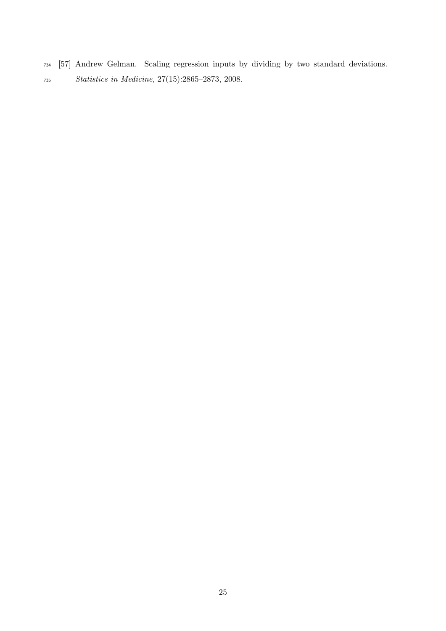- [57] Andrew Gelman. Scaling regression inputs by dividing by two standard deviations.
- Statistics in Medicine, 27(15):2865–2873, 2008.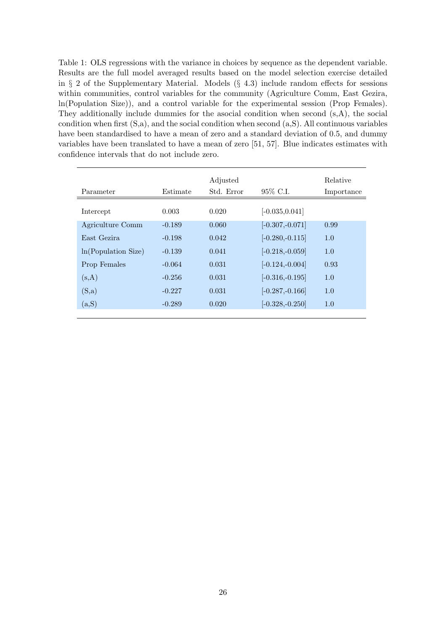Table 1: OLS regressions with the variance in choices by sequence as the dependent variable. Results are the full model averaged results based on the model selection exercise detailed in  $\S$  2 of the Supplementary Material. Models  $(\S$  4.3) include random effects for sessions within communities, control variables for the community (Agriculture Comm, East Gezira, ln(Population Size)), and a control variable for the experimental session (Prop Females). They additionally include dummies for the asocial condition when second  $(s, A)$ , the social condition when first  $(S,a)$ , and the social condition when second  $(a, S)$ . All continuous variables have been standardised to have a mean of zero and a standard deviation of 0.5, and dummy variables have been translated to have a mean of zero [51, 57]. Blue indicates estimates with confidence intervals that do not include zero.

|          | Adjusted   |                    | Relative   |
|----------|------------|--------------------|------------|
| Estimate | Std. Error | 95\% C.I.          | Importance |
| 0.003    | 0.020      | $[-0.035, 0.041]$  |            |
| $-0.189$ | 0.060      | $[-0.307,-0.071]$  | 0.99       |
| $-0.198$ | 0.042      | $[-0.280, -0.115]$ | 1.0        |
| $-0.139$ | 0.041      | $[-0.218,-0.059]$  | 1.0        |
| $-0.064$ | 0.031      | $[-0.124,-0.004]$  | 0.93       |
| $-0.256$ | 0.031      | $[-0.316,-0.195]$  | 1.0        |
| $-0.227$ | 0.031      | $[-0.287, -0.166]$ | 1.0        |
| $-0.289$ | 0.020      | $[-0.328, -0.250]$ | 1.0        |
|          |            |                    |            |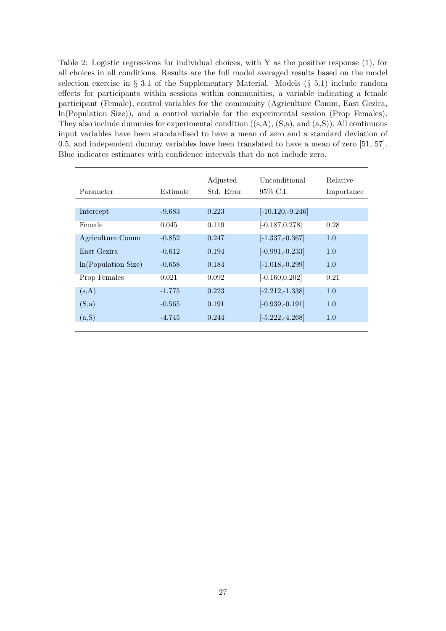Table 2: Logistic regressions for individual choices, with Y as the positive response (1), for all choices in all conditions. Results are the full model averaged results based on the model selection exercise in  $\S$  3.1 of the Supplementary Material. Models  $(\S$  5.1) include random effects for participants within sessions within communities, a variable indicating a female participant (Female), control variables for the community (Agriculture Comm, East Gezira, ln(Population Size)), and a control variable for the experimental session (Prop Females). They also include dummies for experimental condition  $((s,A), (S,a),$  and  $(a,S))$ . All continuous input variables have been standardised to have a mean of zero and a standard deviation of 0.5, and independent dummy variables have been translated to have a mean of zero [51, 57]. Blue indicates estimates with confidence intervals that do not include zero.

|                     |          | Adjusted   | Unconditional       | Relative   |
|---------------------|----------|------------|---------------------|------------|
| Parameter           | Estimate | Std. Error | 95\% C.I.           | Importance |
|                     |          |            |                     |            |
| Intercept           | $-9.683$ | 0.223      | $[-10.120, -9.246]$ |            |
| Female              | 0.045    | 0.119      | $[-0.187, 0.278]$   | 0.28       |
| Agriculture Comm    | $-0.852$ | 0.247      | $[-1.337, -0.367]$  | 1.0        |
| East Gezira         | $-0.612$ | 0.194      | $[-0.991, -0.233]$  | 1.0        |
| ln(Population Size) | $-0.658$ | 0.184      | $[-1.018,-0.299]$   | 1.0        |
| Prop Females        | 0.021    | 0.092      | $[-0.160, 0.202]$   | 0.21       |
| (s,A)               | $-1.775$ | 0.223      | $[-2.212,-1.338]$   | 1.0        |
| (S,a)               | $-0.565$ | 0.191      | $[-0.939,-0.191]$   | 1.0        |
| (a, S)              | $-4.745$ | 0.244      | $[-5.222, -4.268]$  | 1.0        |
|                     |          |            |                     |            |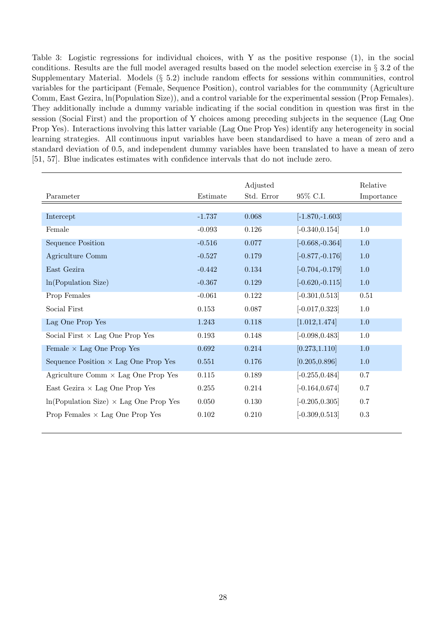Table 3: Logistic regressions for individual choices, with Y as the positive response (1), in the social conditions. Results are the full model averaged results based on the model selection exercise in § 3.2 of the Supplementary Material. Models  $(\S 5.2)$  include random effects for sessions within communities, control variables for the participant (Female, Sequence Position), control variables for the community (Agriculture Comm, East Gezira, ln(Population Size)), and a control variable for the experimental session (Prop Females). They additionally include a dummy variable indicating if the social condition in question was first in the session (Social First) and the proportion of Y choices among preceding subjects in the sequence (Lag One Prop Yes). Interactions involving this latter variable (Lag One Prop Yes) identify any heterogeneity in social learning strategies. All continuous input variables have been standardised to have a mean of zero and a standard deviation of 0.5, and independent dummy variables have been translated to have a mean of zero [51, 57]. Blue indicates estimates with confidence intervals that do not include zero.

| Parameter                                     | Estimate | Adjusted<br>Std. Error | 95% C.I.           | Relative<br>Importance |
|-----------------------------------------------|----------|------------------------|--------------------|------------------------|
|                                               |          |                        |                    |                        |
| Intercept                                     | $-1.737$ | 0.068                  | $[-1.870,-1.603]$  |                        |
| Female                                        | $-0.093$ | 0.126                  | $[-0.340, 0.154]$  | $1.0\,$                |
| <b>Sequence Position</b>                      | $-0.516$ | 0.077                  | $[-0.668, -0.364]$ | 1.0                    |
| Agriculture Comm                              | $-0.527$ | 0.179                  | $[-0.877, -0.176]$ | 1.0                    |
| East Gezira                                   | $-0.442$ | 0.134                  | $[-0.704,-0.179]$  | 1.0                    |
| ln(Population Size)                           | $-0.367$ | 0.129                  | $[-0.620,-0.115]$  | 1.0                    |
| Prop Females                                  | $-0.061$ | 0.122                  | $[-0.301, 0.513]$  | $0.51\,$               |
| Social First                                  | 0.153    | 0.087                  | $[-0.017, 0.323]$  | $1.0\,$                |
| Lag One Prop Yes                              | 1.243    | 0.118                  | [1.012, 1.474]     | 1.0                    |
| Social First $\times$ Lag One Prop Yes        | 0.193    | 0.148                  | $[-0.098, 0.483]$  | 1.0                    |
| Female $\times$ Lag One Prop Yes              | 0.692    | 0.214                  | [0.273, 1.110]     | 1.0                    |
| Sequence Position $\times$ Lag One Prop Yes   | 0.551    | 0.176                  | [0.205, 0.896]     | 1.0                    |
| Agriculture Comm $\times$ Lag One Prop Yes    | 0.115    | 0.189                  | $[-0.255, 0.484]$  | 0.7                    |
| East Gezira $\times$ Lag One Prop Yes         | 0.255    | 0.214                  | $[-0.164, 0.674]$  | $0.7\,$                |
| $ln(Population Size) \times Lag One Prop Yes$ | 0.050    | 0.130                  | $[-0.205, 0.305]$  | $0.7\,$                |
| Prop Females $\times$ Lag One Prop Yes        | 0.102    | 0.210                  | $[-0.309, 0.513]$  | $\rm 0.3$              |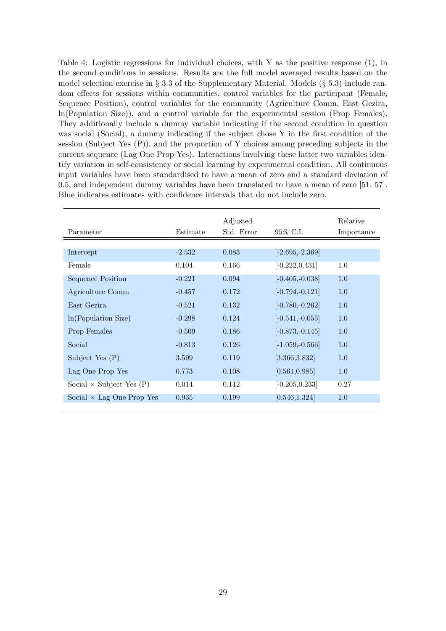Table 4: Logistic regressions for individual choices, with Y as the positive response (1), in the second conditions in sessions. Results are the full model averaged results based on the model selection exercise in  $\S 3.3$  of the Supplementary Material. Models  $(\S 5.3)$  include random effects for sessions within communities, control variables for the participant (Female, Sequence Position), control variables for the community (Agriculture Comm, East Gezira, ln(Population Size)), and a control variable for the experimental session (Prop Females). They additionally include a dummy variable indicating if the second condition in question was social (Social), a dummy indicating if the subject chose Y in the first condition of the session (Subject Yes (P)), and the proportion of Y choices among preceding subjects in the current sequence (Lag One Prop Yes). Interactions involving these latter two variables identify variation in self-consistency or social learning by experimental condition. All continuous input variables have been standardised to have a mean of zero and a standard deviation of 0.5, and independent dummy variables have been translated to have a mean of zero [51, 57]. Blue indicates estimates with confidence intervals that do not include zero.

| Parameter                        | Estimate | Adjusted<br>Std. Error | 95\% C.I.          | Relative<br>Importance |
|----------------------------------|----------|------------------------|--------------------|------------------------|
|                                  |          |                        |                    |                        |
| Intercept                        | $-2.532$ | 0.083                  | $[-2.695, -2.369]$ |                        |
| Female                           | 0.104    | 0.166                  | $[-0.222, 0.431]$  | 1.0                    |
| Sequence Position                | $-0.221$ | 0.094                  | $[-0.405, -0.038]$ | 1.0                    |
| Agriculture Comm                 | $-0.457$ | 0.172                  | $[-0.794, -0.121]$ | 1.0                    |
| East Gezira                      | $-0.521$ | 0.132                  | $[-0.780,-0.262]$  | 1.0                    |
| ln(Population Size)              | $-0.298$ | 0.124                  | $[-0.541, -0.055]$ | 1.0                    |
| <b>Prop Females</b>              | $-0.509$ | 0.186                  | $[-0.873, -0.145]$ | 1.0                    |
| Social                           | $-0.813$ | 0.126                  | $[-1.059, -0.566]$ | 1.0                    |
| Subject Yes $(P)$                | 3.599    | 0.119                  | [3.366, 3.832]     | 1.0                    |
| Lag One Prop Yes                 | 0.773    | 0.108                  | [0.561, 0.985]     | 1.0                    |
| Social $\times$ Subject Yes (P)  | 0.014    | 0.112                  | $[-0.205, 0.233]$  | 0.27                   |
| Social $\times$ Lag One Prop Yes | 0.935    | 0.199                  | [0.546, 1.324]     | 1.0                    |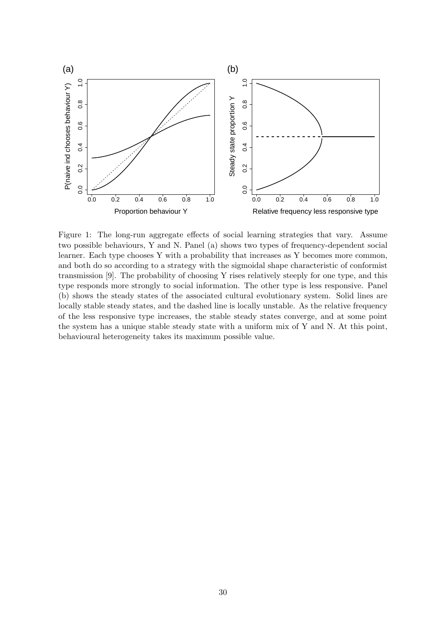

Figure 1: The long-run aggregate effects of social learning strategies that vary. Assume two possible behaviours, Y and N. Panel (a) shows two types of frequency-dependent social learner. Each type chooses Y with a probability that increases as Y becomes more common, and both do so according to a strategy with the sigmoidal shape characteristic of conformist transmission [9]. The probability of choosing Y rises relatively steeply for one type, and this type responds more strongly to social information. The other type is less responsive. Panel (b) shows the steady states of the associated cultural evolutionary system. Solid lines are locally stable steady states, and the dashed line is locally unstable. As the relative frequency of the less responsive type increases, the stable steady states converge, and at some point the system has a unique stable steady state with a uniform mix of Y and N. At this point, behavioural heterogeneity takes its maximum possible value.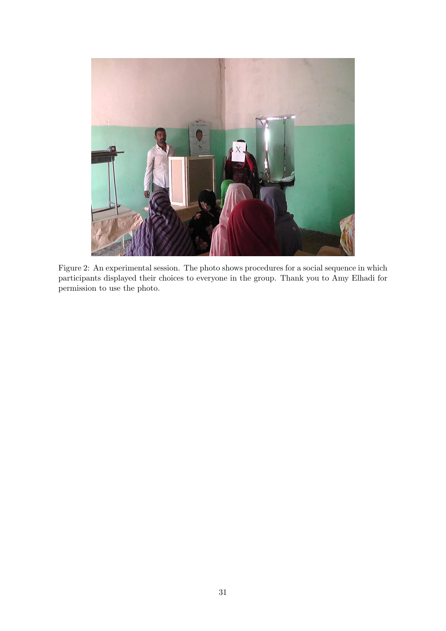

Figure 2: An experimental session. The photo shows procedures for a social sequence in which participants displayed their choices to everyone in the group. Thank you to Amy Elhadi for permission to use the photo.